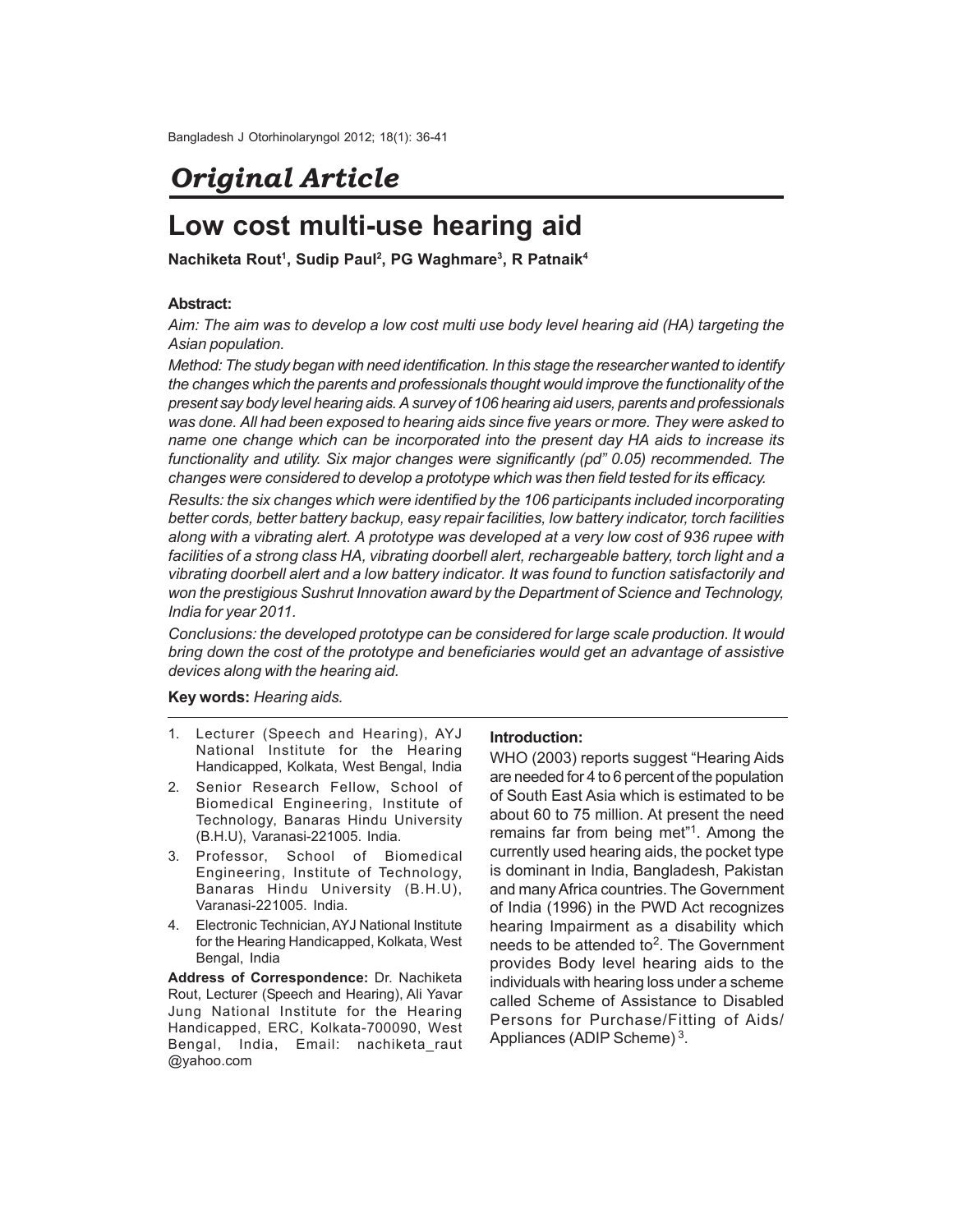# *Original Article*

## **Low cost multi-use hearing aid**

**Nachiketa Rout<sup>1</sup> , Sudip Paul<sup>2</sup> , PG Waghmare<sup>3</sup> , R Patnaik<sup>4</sup>**

### **Abstract:**

*Aim: The aim was to develop a low cost multi use body level hearing aid (HA) targeting the Asian population.*

*Method: The study began with need identification. In this stage the researcher wanted to identify the changes which the parents and professionals thought would improve the functionality of the present say body level hearing aids. A survey of 106 hearing aid users, parents and professionals was done. All had been exposed to hearing aids since five years or more. They were asked to name one change which can be incorporated into the present day HA aids to increase its functionality and utility. Six major changes were significantly (pd" 0.05) recommended. The changes were considered to develop a prototype which was then field tested for its efficacy.*

*Results: the six changes which were identified by the 106 participants included incorporating better cords, better battery backup, easy repair facilities, low battery indicator, torch facilities along with a vibrating alert. A prototype was developed at a very low cost of 936 rupee with facilities of a strong class HA, vibrating doorbell alert, rechargeable battery, torch light and a vibrating doorbell alert and a low battery indicator. It was found to function satisfactorily and won the prestigious Sushrut Innovation award by the Department of Science and Technology, India for year 2011.*

*Conclusions: the developed prototype can be considered for large scale production. It would bring down the cost of the prototype and beneficiaries would get an advantage of assistive devices along with the hearing aid.*

**Key words:** *Hearing aids.*

- 1. Lecturer (Speech and Hearing), AYJ National Institute for the Hearing Handicapped, Kolkata, West Bengal, India
- 2. Senior Research Fellow, School of Biomedical Engineering, Institute of Technology, Banaras Hindu University (B.H.U), Varanasi-221005. India.
- 3. Professor, School of Biomedical Engineering, Institute of Technology, Banaras Hindu University (B.H.U), Varanasi-221005. India.
- 4. Electronic Technician, AYJ National Institute for the Hearing Handicapped, Kolkata, West Bengal, India

**Address of Correspondence:** Dr. Nachiketa Rout, Lecturer (Speech and Hearing), Ali Yavar Jung National Institute for the Hearing Handicapped, ERC, Kolkata-700090, West Bengal, India, Email: nachiketa\_raut @yahoo.com

### **Introduction:**

WHO (2003) reports suggest "Hearing Aids are needed for 4 to 6 percent of the population of South East Asia which is estimated to be about 60 to 75 million. At present the need remains far from being met"<sup>1</sup>. Among the currently used hearing aids, the pocket type is dominant in India, Bangladesh, Pakistan and many Africa countries. The Government of India (1996) in the PWD Act recognizes hearing Impairment as a disability which needs to be attended to<sup>2</sup>. The Government provides Body level hearing aids to the individuals with hearing loss under a scheme called Scheme of Assistance to Disabled Persons for Purchase/Fitting of Aids/ Appliances (ADIP Scheme)<sup>3</sup>.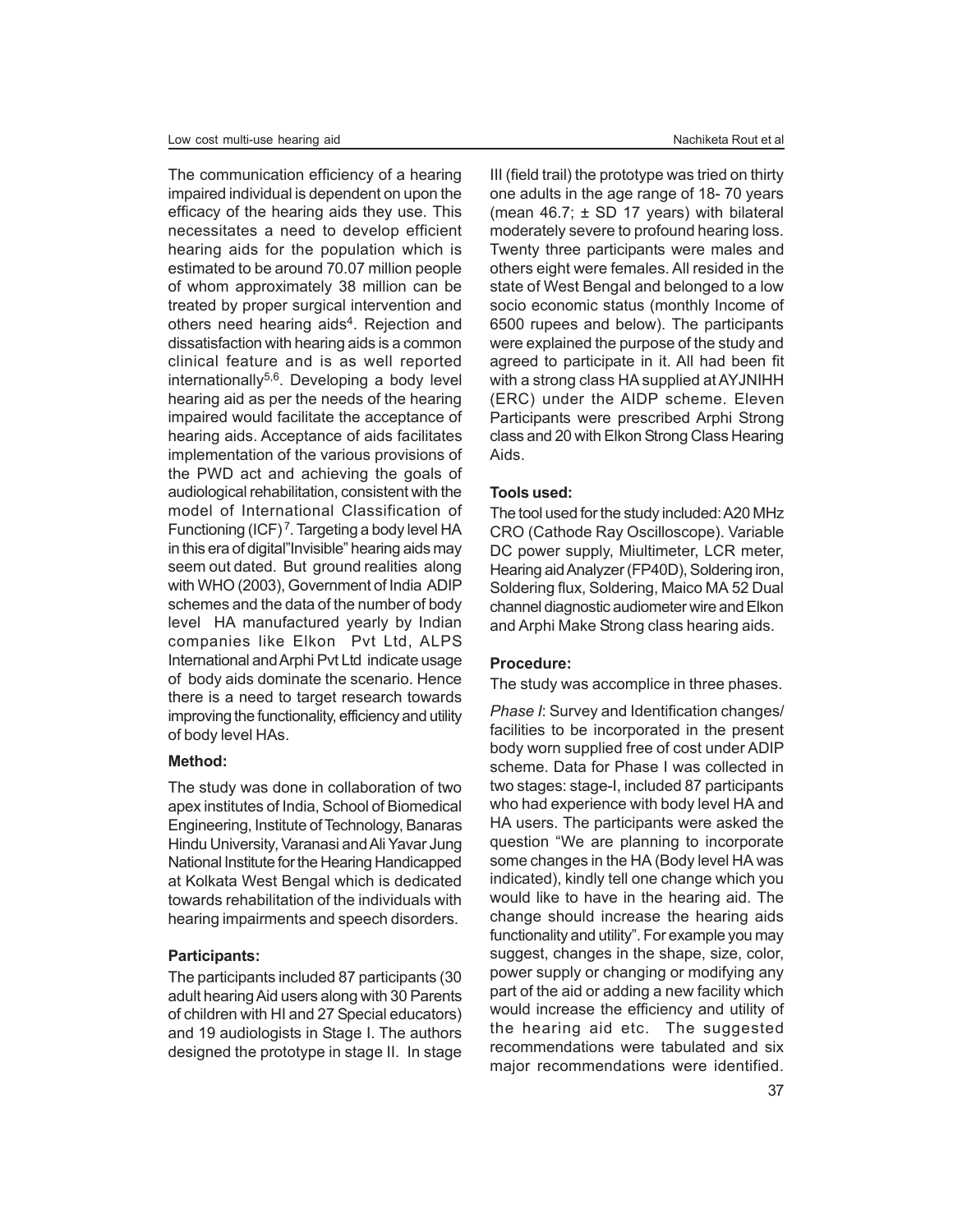The communication efficiency of a hearing impaired individual is dependent on upon the efficacy of the hearing aids they use. This necessitates a need to develop efficient hearing aids for the population which is estimated to be around 70.07 million people of whom approximately 38 million can be treated by proper surgical intervention and others need hearing aids<sup>4</sup>. Rejection and dissatisfaction with hearing aids is a common clinical feature and is as well reported internationally $5,6$ . Developing a body level hearing aid as per the needs of the hearing impaired would facilitate the acceptance of hearing aids. Acceptance of aids facilitates implementation of the various provisions of the PWD act and achieving the goals of audiological rehabilitation, consistent with the model of International Classification of Functioning  $(ICF)^7$ . Targeting a body level HA in this era of digital"Invisible" hearing aids may seem out dated. But ground realities along with WHO (2003), Government of India ADIP schemes and the data of the number of body level HA manufactured yearly by Indian companies like Elkon Pvt Ltd, ALPS International and Arphi Pvt Ltd indicate usage of body aids dominate the scenario. Hence there is a need to target research towards improving the functionality, efficiency and utility of body level HAs.

#### **Method:**

The study was done in collaboration of two apex institutes of India, School of Biomedical Engineering, Institute of Technology, Banaras Hindu University, Varanasi and Ali Yavar Jung National Institute for the Hearing Handicapped at Kolkata West Bengal which is dedicated towards rehabilitation of the individuals with hearing impairments and speech disorders.

#### **Participants:**

The participants included 87 participants (30 adult hearing Aid users along with 30 Parents of children with HI and 27 Special educators) and 19 audiologists in Stage I. The authors designed the prototype in stage II. In stage

III (field trail) the prototype was tried on thirty one adults in the age range of 18- 70 years (mean  $46.7$ ;  $\pm$  SD 17 years) with bilateral moderately severe to profound hearing loss. Twenty three participants were males and others eight were females. All resided in the state of West Bengal and belonged to a low socio economic status (monthly Income of 6500 rupees and below). The participants were explained the purpose of the study and agreed to participate in it. All had been fit with a strong class HA supplied at AYJNIHH (ERC) under the AIDP scheme. Eleven Participants were prescribed Arphi Strong class and 20 with Elkon Strong Class Hearing Aids.

#### **Tools used:**

The tool used for the study included: A20 MHz CRO (Cathode Ray Oscilloscope). Variable DC power supply, Miultimeter, LCR meter, Hearing aid Analyzer (FP40D), Soldering iron, Soldering flux, Soldering, Maico MA 52 Dual channel diagnostic audiometer wire and Elkon and Arphi Make Strong class hearing aids.

#### **Procedure:**

The study was accomplice in three phases.

*Phase I*: Survey and Identification changes/ facilities to be incorporated in the present body worn supplied free of cost under ADIP scheme. Data for Phase I was collected in two stages: stage-I, included 87 participants who had experience with body level HA and HA users. The participants were asked the question "We are planning to incorporate some changes in the HA (Body level HA was indicated), kindly tell one change which you would like to have in the hearing aid. The change should increase the hearing aids functionality and utility". For example you may suggest, changes in the shape, size, color, power supply or changing or modifying any part of the aid or adding a new facility which would increase the efficiency and utility of the hearing aid etc. The suggested recommendations were tabulated and six major recommendations were identified.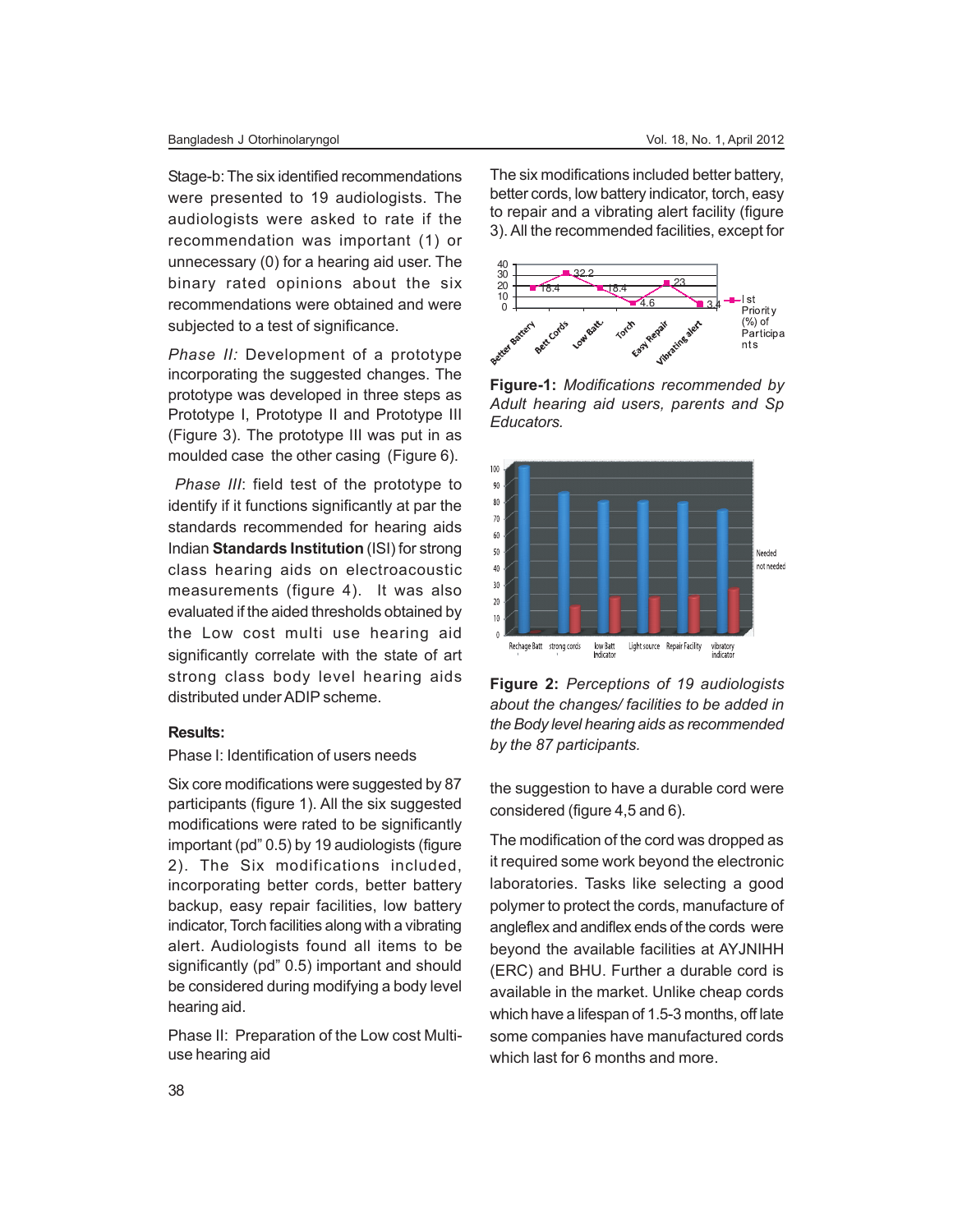#### Bangladesh J Otorhinolaryngol Vol. 18, No. 1, April 2012

Stage-b: The six identified recommendations were presented to 19 audiologists. The audiologists were asked to rate if the recommendation was important (1) or unnecessary (0) for a hearing aid user. The binary rated opinions about the six recommendations were obtained and were subjected to a test of significance.

*Phase II:* Development of a prototype incorporating the suggested changes. The prototype was developed in three steps as Prototype I, Prototype II and Prototype III (Figure 3). The prototype III was put in as moulded case the other casing (Figure 6).

*Phase III*: field test of the prototype to identify if it functions significantly at par the standards recommended for hearing aids Indian **Standards Institution** (ISI) for strong class hearing aids on electroacoustic measurements (figure 4). It was also evaluated if the aided thresholds obtained by the Low cost multi use hearing aid significantly correlate with the state of art strong class body level hearing aids distributed under ADIP scheme.

#### **Results:**

#### Phase I: Identification of users needs

Six core modifications were suggested by 87 participants (figure 1). All the six suggested modifications were rated to be significantly important (pd" 0.5) by 19 audiologists (figure 2). The Six modifications included, incorporating better cords, better battery backup, easy repair facilities, low battery indicator, Torch facilities along with a vibrating alert. Audiologists found all items to be significantly (pd" 0.5) important and should be considered during modifying a body level hearing aid.

Phase II: Preparation of the Low cost Multiuse hearing aid

The six modifications included better battery, better cords, low battery indicator, torch, easy to repair and a vibrating alert facility (figure 3). All the recommended facilities, except for



**Figure-1:** *Modifications recommended by Adult hearing aid users, parents and Sp Educators.*



**Figure 2:** *Perceptions of 19 audiologists about the changes/ facilities to be added in the Body level hearing aids as recommended by the 87 participants.*

the suggestion to have a durable cord were considered (figure 4,5 and 6).

The modification of the cord was dropped as it required some work beyond the electronic laboratories. Tasks like selecting a good polymer to protect the cords, manufacture of angleflex and andiflex ends of the cords were beyond the available facilities at AYJNIHH (ERC) and BHU. Further a durable cord is available in the market. Unlike cheap cords which have a lifespan of 1.5-3 months, off late some companies have manufactured cords which last for 6 months and more.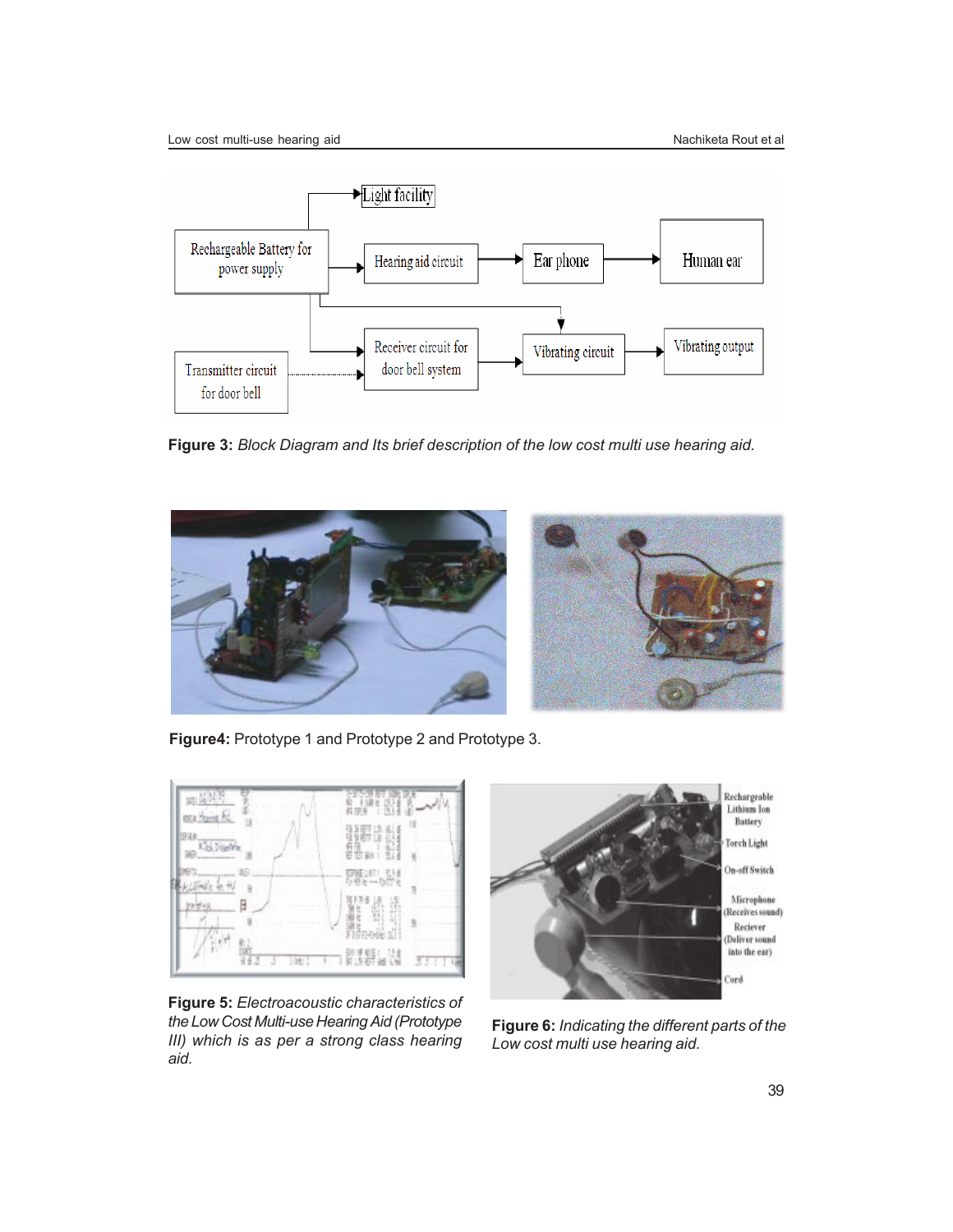

**Figure 3:** *Block Diagram and Its brief description of the low cost multi use hearing aid.*



**Figure4:** Prototype 1 and Prototype 2 and Prototype 3.



**Figure 5:** *Electroacoustic characteristics of the Low Cost Multi-use Hearing Aid (Prototype III) which is as per a strong class hearing aid.*



**Figure 6:** *Indicating the different parts of the Low cost multi use hearing aid.*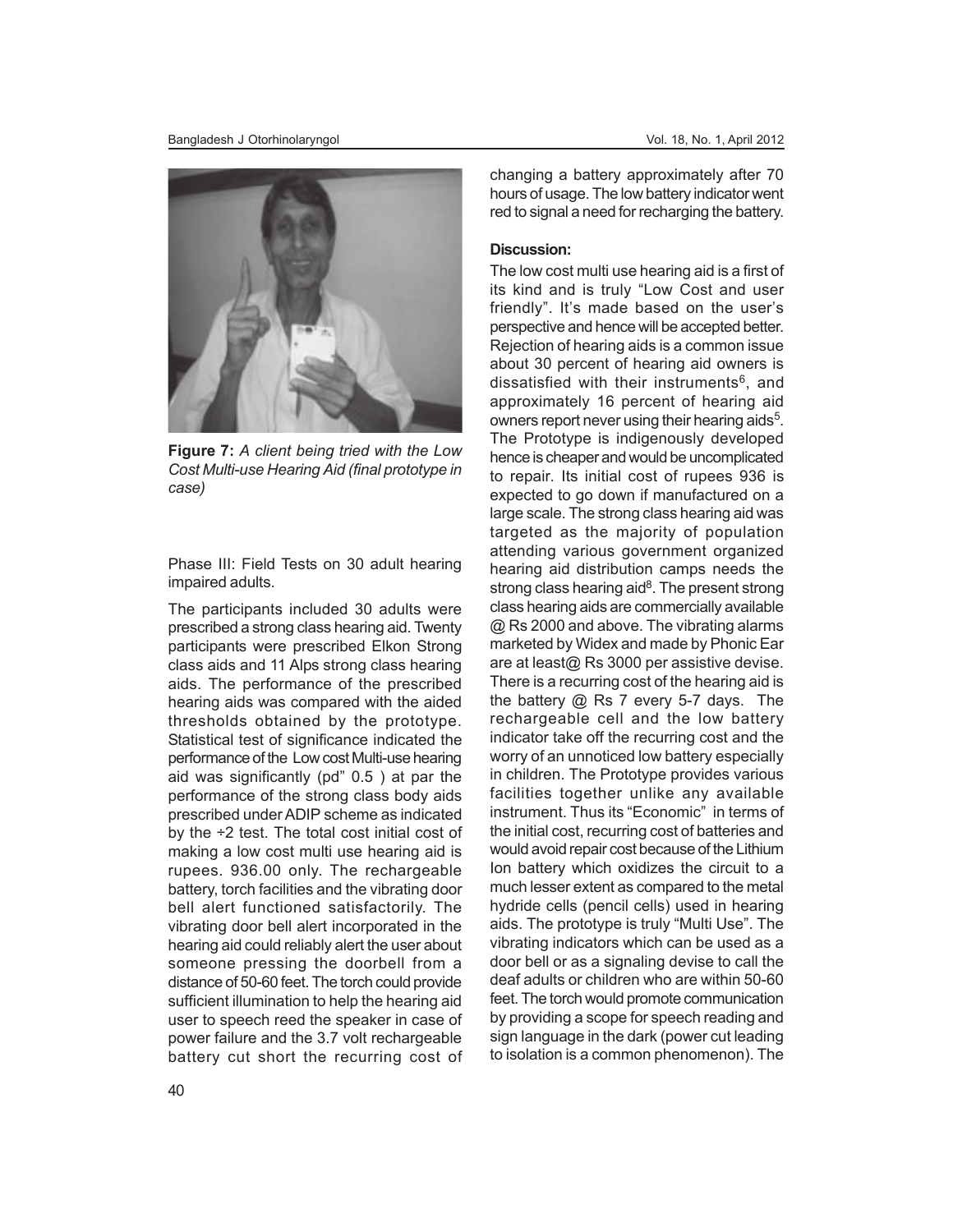

**Figure 7:** *A client being tried with the Low Cost Multi-use Hearing Aid (final prototype in case)*

Phase III: Field Tests on 30 adult hearing impaired adults.

The participants included 30 adults were prescribed a strong class hearing aid. Twenty participants were prescribed Elkon Strong class aids and 11 Alps strong class hearing aids. The performance of the prescribed hearing aids was compared with the aided thresholds obtained by the prototype. Statistical test of significance indicated the performance of the Low cost Multi-use hearing aid was significantly (pd" 0.5 ) at par the performance of the strong class body aids prescribed under ADIP scheme as indicated by the  $\div$ 2 test. The total cost initial cost of making a low cost multi use hearing aid is rupees. 936.00 only. The rechargeable battery, torch facilities and the vibrating door bell alert functioned satisfactorily. The vibrating door bell alert incorporated in the hearing aid could reliably alert the user about someone pressing the doorbell from a distance of 50-60 feet. The torch could provide sufficient illumination to help the hearing aid user to speech reed the speaker in case of power failure and the 3.7 volt rechargeable battery cut short the recurring cost of changing a battery approximately after 70 hours of usage. The low battery indicator went red to signal a need for recharging the battery.

#### **Discussion:**

The low cost multi use hearing aid is a first of its kind and is truly "Low Cost and user friendly". It's made based on the user's perspective and hence will be accepted better. Rejection of hearing aids is a common issue about 30 percent of hearing aid owners is dissatisfied with their instruments<sup>6</sup>, and approximately 16 percent of hearing aid owners report never using their hearing aids<sup>5</sup>. The Prototype is indigenously developed hence is cheaper and would be uncomplicated to repair. Its initial cost of rupees 936 is expected to go down if manufactured on a large scale. The strong class hearing aid was targeted as the majority of population attending various government organized hearing aid distribution camps needs the strong class hearing aid<sup>8</sup>. The present strong class hearing aids are commercially available @ Rs 2000 and above. The vibrating alarms marketed by Widex and made by Phonic Ear are at least@ Rs 3000 per assistive devise. There is a recurring cost of the hearing aid is the battery @ Rs 7 every 5-7 days. The rechargeable cell and the low battery indicator take off the recurring cost and the worry of an unnoticed low battery especially in children. The Prototype provides various facilities together unlike any available instrument. Thus its "Economic" in terms of the initial cost, recurring cost of batteries and would avoid repair cost because of the Lithium Ion battery which oxidizes the circuit to a much lesser extent as compared to the metal hydride cells (pencil cells) used in hearing aids. The prototype is truly "Multi Use". The vibrating indicators which can be used as a door bell or as a signaling devise to call the deaf adults or children who are within 50-60 feet. The torch would promote communication by providing a scope for speech reading and sign language in the dark (power cut leading to isolation is a common phenomenon). The